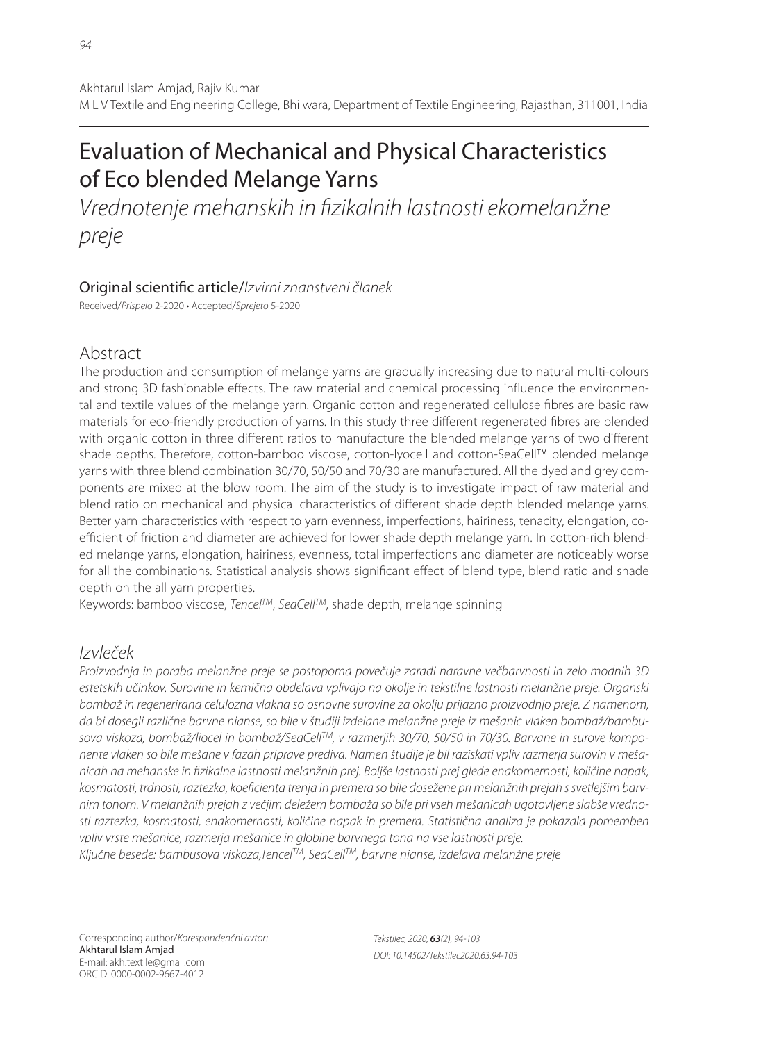# Evaluation of Mechanical and Physical Characteristics of Eco blended Melange Yarns

Vrednotenje mehanskih in fizikalnih lastnosti ekomelanžne preje

## Original scientific article/Izvirni znanstveni članek

Received/Prispelo 2-2020 • Accepted/Sprejeto 5-2020

## Abstract

The production and consumption of melange yarns are gradually increasing due to natural multi-colours and strong 3D fashionable effects. The raw material and chemical processing influence the environmental and textile values of the melange yarn. Organic cotton and regenerated cellulose fibres are basic raw materials for eco-friendly production of yarns. In this study three different regenerated fibres are blended with organic cotton in three different ratios to manufacture the blended melange yarns of two different shade depths. Therefore, cotton-bamboo viscose, cotton-lyocell and cotton-SeaCell™ blended melange yarns with three blend combination 30/70, 50/50 and 70/30 are manufactured. All the dyed and grey components are mixed at the blow room. The aim of the study is to investigate impact of raw material and blend ratio on mechanical and physical characteristics of different shade depth blended melange yarns. Better yarn characteristics with respect to yarn evenness, imperfections, hairiness, tenacity, elongation, coefficient of friction and diameter are achieved for lower shade depth melange yarn. In cotton-rich blended melange yarns, elongation, hairiness, evenness, total imperfections and diameter are noticeably worse for all the combinations. Statistical analysis shows significant effect of blend type, blend ratio and shade depth on the all yarn properties.

Keywords: bamboo viscose, Tencel<sup>TM</sup>, SeaCell<sup>TM</sup>, shade depth, melange spinning

## Izvleček

Proizvodnja in poraba melanžne preje se postopoma povečuje zaradi naravne večbarvnosti in zelo modnih 3D estetskih učinkov. Surovine in kemična obdelava vplivajo na okolje in tekstilne lastnosti melanžne preje. Organski bombaž in regenerirana celulozna vlakna so osnovne surovine za okolju prijazno proizvodnjo preje. Z namenom, da bi dosegli različne barvne nianse, so bile v študiji izdelane melanžne preje iz mešanic vlaken bombaž/bambusova viskoza, bombaž/liocel in bombaž/SeaCellTM, v razmerjih 30/70, 50/50 in 70/30. Barvane in surove komponente vlaken so bile mešane v fazah priprave prediva. Namen študije je bil raziskati vpliv razmerja surovin v mešanicah na mehanske in fizikalne lastnosti melanžnih prej. Boljše lastnosti prej glede enakomernosti, količine napak, kosmatosti, trdnosti, raztezka, koeficienta trenja in premera so bile dosežene pri melanžnih prejah s svetlejšim barvnim tonom. V melanžnih prejah z večjim deležem bombaža so bile pri vseh mešanicah ugotovljene slabše vrednosti raztezka, kosmatosti, enakomernosti, količine napak in premera. Statistična analiza je pokazala pomemben vpliv vrste mešanice, razmerja mešanice in globine barvnega tona na vse lastnosti preje. Ključne besede: bambusova viskoza,Tencel™, SeaCell™, barvne nianse, izdelava melanžne preje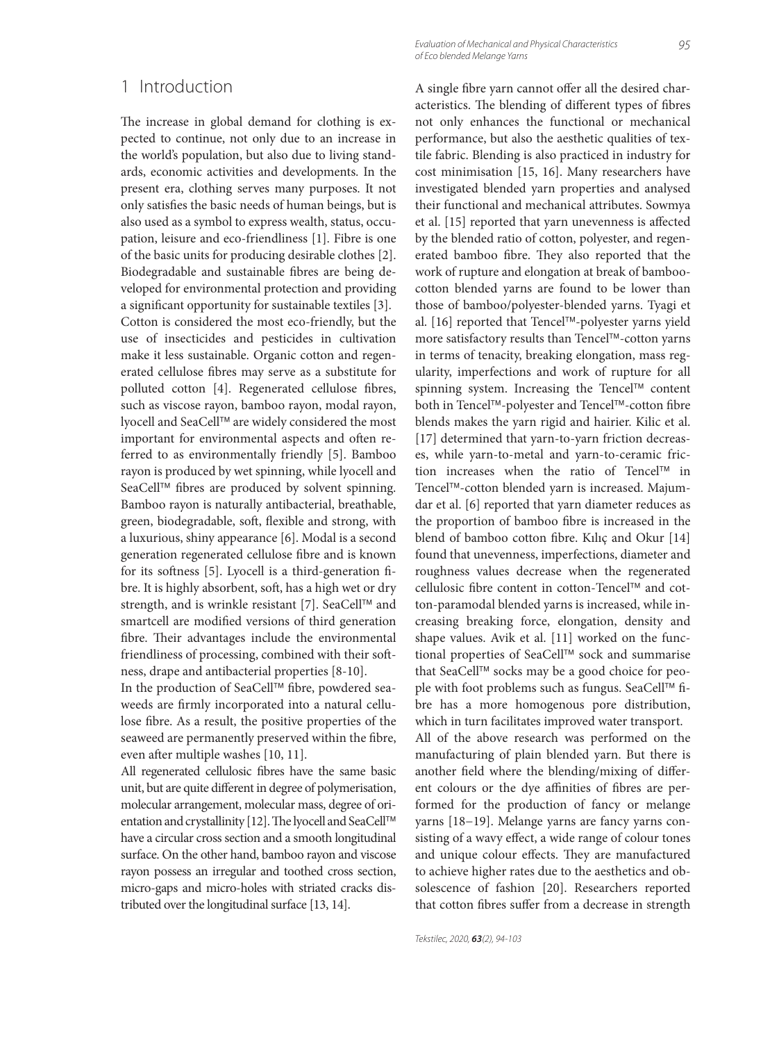### 1 Introduction

The increase in global demand for clothing is expected to continue, not only due to an increase in the world's population, but also due to living standards, economic activities and developments. In the present era, clothing serves many purposes. It not only satisfies the basic needs of human beings, but is also used as a symbol to express wealth, status, occupation, leisure and eco-friendliness [1]. Fibre is one of the basic units for producing desirable clothes [2]. Biodegradable and sustainable fibres are being developed for environmental protection and providing a significant opportunity for sustainable textiles [3]. Cotton is considered the most eco-friendly, but the use of insecticides and pesticides in cultivation make it less sustainable. Organic cotton and regenerated cellulose fibres may serve as a substitute for polluted cotton [4]. Regenerated cellulose fibres, such as viscose rayon, bamboo rayon, modal rayon, lyocell and SeaCell™ are widely considered the most important for environmental aspects and often referred to as environmentally friendly [5]. Bamboo rayon is produced by wet spinning, while lyocell and SeaCell™ fibres are produced by solvent spinning. Bamboo rayon is naturally antibacterial, breathable, green, biodegradable, soft, flexible and strong, with a luxurious, shiny appearance [6]. Modal is a second generation regenerated cellulose fibre and is known for its softness [5]. Lyocell is a third-generation fibre. It is highly absorbent, soft, has a high wet or dry strength, and is wrinkle resistant [7]. SeaCell™ and smartcell are modified versions of third generation fibre. Their advantages include the environmental friendliness of processing, combined with their softness, drape and antibacterial properties [8-10].

In the production of SeaCell™ fibre, powdered seaweeds are firmly incorporated into a natural cellulose fibre. As a result, the positive properties of the seaweed are permanently preserved within the fibre, even after multiple washes [10, 11].

All regenerated cellulosic fibres have the same basic unit, but are quite different in degree of polymerisation, molecular arrangement, molecular mass, degree of orientation and crystallinity [12]. The lyocell and SeaCell™ have a circular cross section and a smooth longitudinal surface. On the other hand, bamboo rayon and viscose rayon possess an irregular and toothed cross section, micro-gaps and micro-holes with striated cracks distributed over the longitudinal surface [13, 14].

Evaluation of Mechanical and Physical Characteristics of Eco blended Melange Yarns

A single fibre yarn cannot offer all the desired characteristics. The blending of different types of fibres not only enhances the functional or mechanical performance, but also the aesthetic qualities of textile fabric. Blending is also practiced in industry for cost minimisation [15, 16]. Many researchers have investigated blended yarn properties and analysed their functional and mechanical attributes. Sowmya et al. [15] reported that yarn unevenness is affected by the blended ratio of cotton, polyester, and regenerated bamboo fibre. They also reported that the work of rupture and elongation at break of bamboocotton blended yarns are found to be lower than those of bamboo/polyester-blended yarns. Tyagi et al. [16] reported that Tencel™-polyester yarns yield more satisfactory results than Tencel™-cotton yarns in terms of tenacity, breaking elongation, mass regularity, imperfections and work of rupture for all spinning system. Increasing the Tencel™ content both in Tencel™-polyester and Tencel™-cotton fibre blends makes the yarn rigid and hairier. Kilic et al. [17] determined that yarn-to-yarn friction decreases, while yarn-to-metal and yarn-to-ceramic friction increases when the ratio of Tencel™ in Tencel™-cotton blended yarn is increased. Majumdar et al. [6] reported that yarn diameter reduces as the proportion of bamboo fibre is increased in the blend of bamboo cotton fibre. Kılıç and Okur [14] found that unevenness, imperfections, diameter and roughness values decrease when the regenerated cellulosic fibre content in cotton-Tencel™ and cotton-paramodal blended yarns is increased, while increasing breaking force, elongation, density and shape values. Avik et al. [11] worked on the functional properties of SeaCell™ sock and summarise that SeaCell™ socks may be a good choice for people with foot problems such as fungus. SeaCell™ fibre has a more homogenous pore distribution, which in turn facilitates improved water transport. All of the above research was performed on the

manufacturing of plain blended yarn. But there is another field where the blending/mixing of different colours or the dye affinities of fibres are performed for the production of fancy or melange yarns [18−19]. Melange yarns are fancy yarns consisting of a wavy effect, a wide range of colour tones and unique colour effects. They are manufactured to achieve higher rates due to the aesthetics and obsolescence of fashion [20]. Researchers reported that cotton fibres suffer from a decrease in strength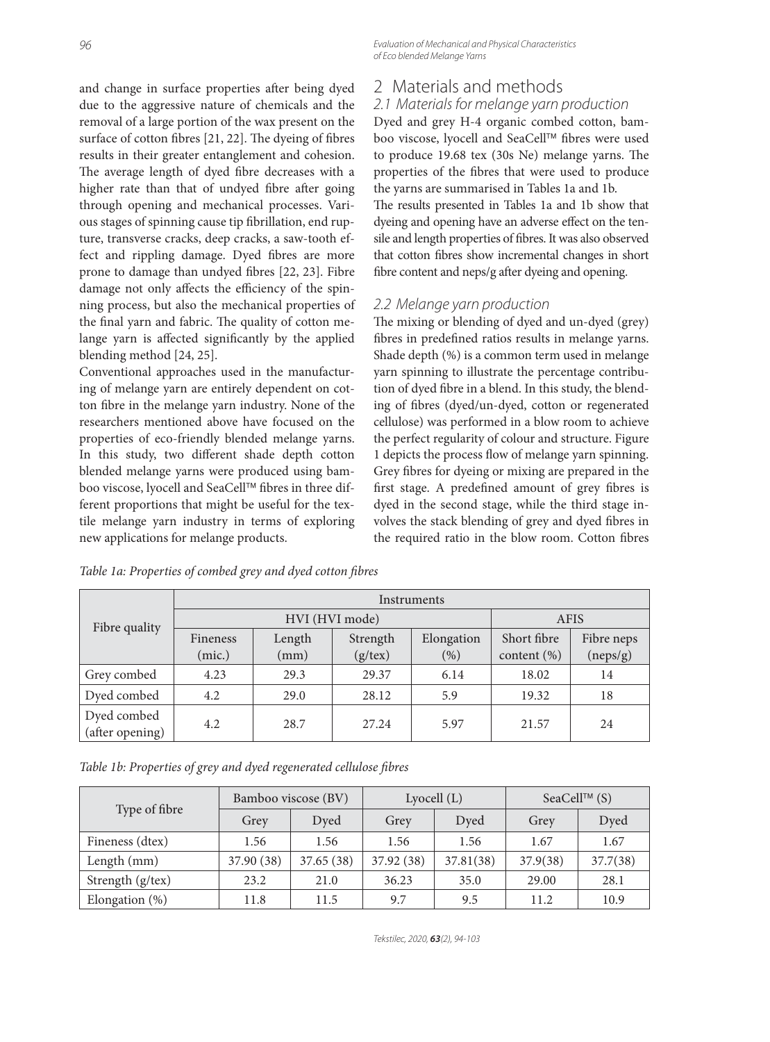and change in surface properties after being dyed due to the aggressive nature of chemicals and the removal of a large portion of the wax present on the surface of cotton fibres [21, 22]. The dyeing of fibres results in their greater entanglement and cohesion. The average length of dyed fibre decreases with a higher rate than that of undyed fibre after going through opening and mechanical processes. Various stages of spinning cause tip fibrillation, end rupture, transverse cracks, deep cracks, a saw-tooth effect and rippling damage. Dyed fibres are more prone to damage than undyed fibres [22, 23]. Fibre damage not only affects the efficiency of the spinning process, but also the mechanical properties of the final yarn and fabric. The quality of cotton melange yarn is affected significantly by the applied blending method [24, 25].

Conventional approaches used in the manufacturing of melange yarn are entirely dependent on cotton fibre in the melange yarn industry. None of the researchers mentioned above have focused on the properties of eco-friendly blended melange yarns. In this study, two different shade depth cotton blended melange yarns were produced using bamboo viscose, lyocell and SeaCell™ fibres in three different proportions that might be useful for the textile melange yarn industry in terms of exploring new applications for melange products.

Evaluation of Mechanical and Physical Characteristics of Eco blended Melange Yarns

## 2 Materials and methods

## 2.1 Materials for melange yarn production

Dyed and grey H-4 organic combed cotton, bamboo viscose, lyocell and SeaCell™ fibres were used to produce  $19.68$  tex  $(30s$  Ne) melange yarns. The properties of the fibres that were used to produce the yarns are summarised in Tables 1a and 1b. The results presented in Tables 1a and 1b show that dyeing and opening have an adverse effect on the tensile and length properties of fibres. It was also observed that cotton fibres show incremental changes in short fibre content and neps/g after dyeing and opening.

#### 2.2 Melange yarn production

The mixing or blending of dyed and un-dyed (grey) fibres in predefined ratios results in melange yarns. Shade depth (%) is a common term used in melange yarn spinning to illustrate the percentage contribution of dyed fibre in a blend. In this study, the blending of fibres (dyed/un-dyed, cotton or regenerated cellulose) was performed in a blow room to achieve the perfect regularity of colour and structure. Figure 1 depicts the process flow of melange yarn spinning. Grey fibres for dyeing or mixing are prepared in the first stage. A predefined amount of grey fibres is dyed in the second stage, while the third stage involves the stack blending of grey and dyed fibres in the required ratio in the blow room. Cotton fibres

| Fibre quality                  | Instruments |                |               |            |                 |            |  |  |
|--------------------------------|-------------|----------------|---------------|------------|-----------------|------------|--|--|
|                                |             | HVI (HVI mode) | <b>AFIS</b>   |            |                 |            |  |  |
|                                | Fineness    | Length         | Strength      | Elongation | Short fibre     | Fibre neps |  |  |
|                                | (mic.)      | (mm)           | $(g$ /tex $)$ | (%)        | content $(\% )$ | (neps/g)   |  |  |
| Grey combed                    | 4.23        | 29.3           | 29.37         | 6.14       | 18.02           | 14         |  |  |
| Dyed combed                    | 4.2         | 29.0           | 28.12         | 5.9        | 19.32           | 18         |  |  |
| Dyed combed<br>(after opening) | 4.2         | 28.7           | 27.24         | 5.97       | 21.57           | 24         |  |  |

Table 1a: Properties of combed grey and dyed cotton fibres

Table 1b: Properties of grey and dyed regenerated cellulose fibres

|                   | Bamboo viscose (BV) |            | Lyocell $(L)$ |           | SeaCell™ $(S)$ |          |
|-------------------|---------------------|------------|---------------|-----------|----------------|----------|
| Type of fibre     | Grey                | Dyed       | Grey          | Dved      | Grey           | Dyed     |
| Fineness (dtex)   | 1.56                | 1.56       | 1.56          | 1.56      | 1.67           | 1.67     |
| Length (mm)       | 37.90 (38)          | 37.65 (38) | 37.92 (38)    | 37.81(38) | 37.9(38)       | 37.7(38) |
| Strength (g/tex)  | 23.2                | 21.0       | 36.23         | 35.0      | 29.00          | 28.1     |
| Elongation $(\%)$ | 11.8                | 11.5       | 9.7           | 9.5       | 11.2           | 10.9     |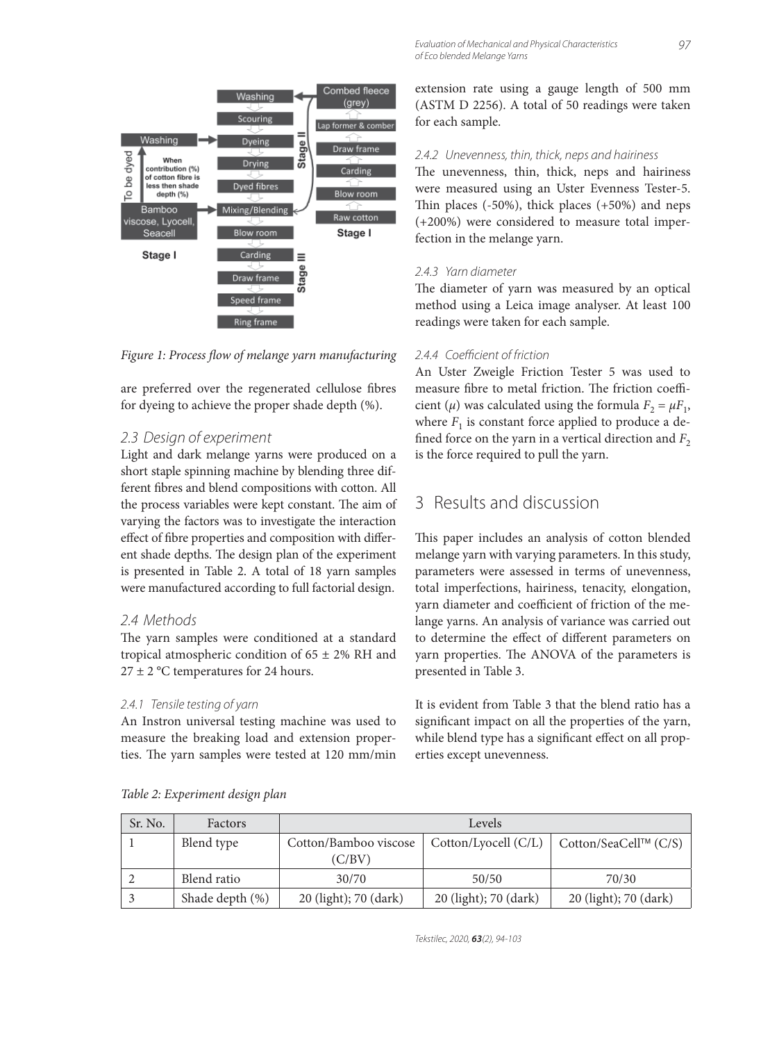

Figure 1: Process flow of melange yarn manufacturing

are preferred over the regenerated cellulose fibres for dyeing to achieve the proper shade depth (%).

#### 2.3 Design of experiment

Light and dark melange yarns were produced on a short staple spinning machine by blending three different fibres and blend compositions with cotton. All the process variables were kept constant. The aim of varying the factors was to investigate the interaction effect of fibre properties and composition with different shade depths. The design plan of the experiment is presented in Table 2. A total of 18 yarn samples were manufactured according to full factorial design.

#### 2.4 Methods

The yarn samples were conditioned at a standard tropical atmospheric condition of  $65 \pm 2\%$  RH and  $27 \pm 2$  °C temperatures for 24 hours.

#### 2.4.1 Tensile testing of yarn

An Instron universal testing machine was used to measure the breaking load and extension properties. The yarn samples were tested at 120 mm/min extension rate using a gauge length of 500 mm (ASTM D 2256). A total of 50 readings were taken for each sample.

#### 2.4.2 Unevenness, thin, thick, neps and hairiness

The unevenness, thin, thick, neps and hairiness were measured using an Uster Evenness Tester-5. Thin places  $(-50\%)$ , thick places  $(+50\%)$  and neps (+200%) were considered to measure total imperfection in the melange yarn.

#### 2.4.3 Yarn diameter

The diameter of yarn was measured by an optical method using a Leica image analyser. At least 100 readings were taken for each sample.

#### 2.4.4 Coefficient of friction

An Uster Zweigle Friction Tester 5 was used to measure fibre to metal friction. The friction coefficient ( $\mu$ ) was calculated using the formula  $F_2 = \mu F_1$ , where  $F_1$  is constant force applied to produce a defined force on the yarn in a vertical direction and  $F<sub>2</sub>$ is the force required to pull the yarn.

## 3 Results and discussion

This paper includes an analysis of cotton blended melange yarn with varying parameters. In this study, parameters were assessed in terms of unevenness, total imperfections, hairiness, tenacity, elongation, yarn diameter and coefficient of friction of the melange yarns. An analysis of variance was carried out to determine the effect of different parameters on yarn properties. The ANOVA of the parameters is presented in Table 3.

It is evident from Table 3 that the blend ratio has a significant impact on all the properties of the yarn, while blend type has a significant effect on all properties except unevenness.

| Sr. No. | Factors         | Levels                |                       |                       |  |
|---------|-----------------|-----------------------|-----------------------|-----------------------|--|
|         | Blend type      | Cotton/Bamboo viscose | Cotton/Lyocell (C/L)  | Cotton/SeaCell™ (C/S) |  |
|         |                 | (C/BV)                |                       |                       |  |
|         | Blend ratio     | 30/70                 | 50/50                 | 70/30                 |  |
|         | Shade depth (%) | 20 (light); 70 (dark) | 20 (light); 70 (dark) | 20 (light); 70 (dark) |  |

*Table 2: Experiment design plan*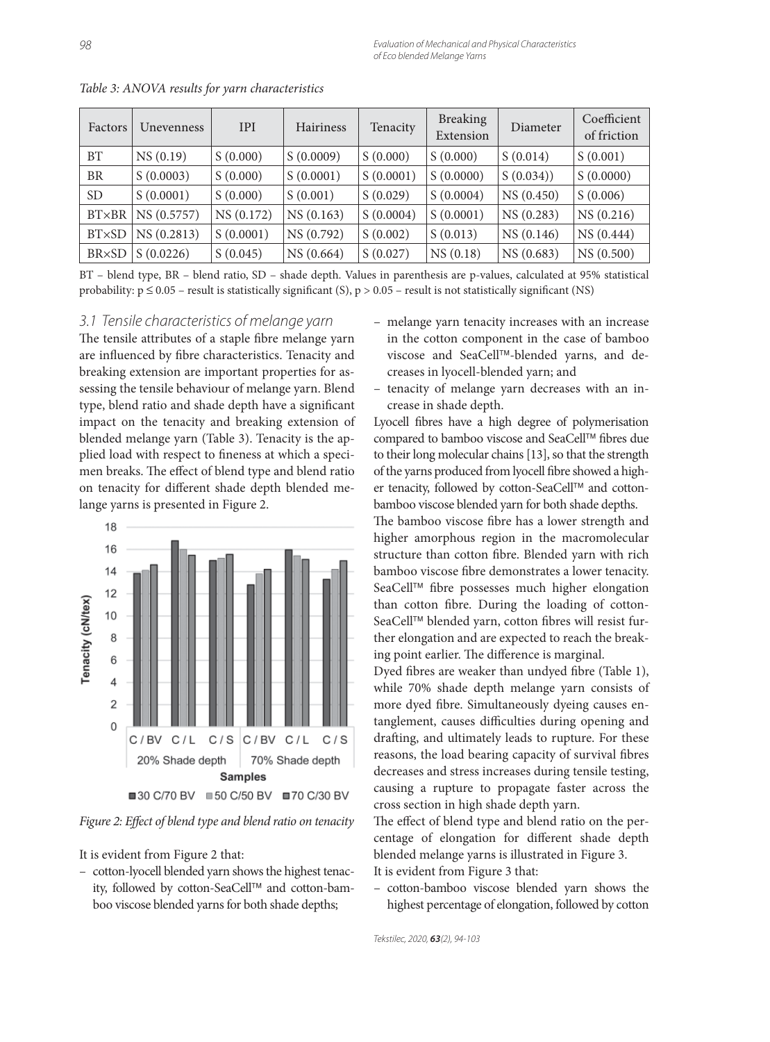| Factors         | <b>Unevenness</b> | <b>IPI</b> | <b>Hairiness</b> | Tenacity  | <b>Breaking</b><br>Extension | Diameter   | Coefficient<br>of friction |
|-----------------|-------------------|------------|------------------|-----------|------------------------------|------------|----------------------------|
| <b>BT</b>       | NS(0.19)          | S(0.000)   | S(0.0009)        | S(0.000)  | S(0.000)                     | S(0.014)   | S(0.001)                   |
| <b>BR</b>       | S(0.0003)         | S(0.000)   | S(0.0001)        | S(0.0001) | S(0.0000)                    | S(0.034)   | S(0.0000)                  |
| SD <sub>1</sub> | S(0.0001)         | S(0.000)   | S(0.001)         | S(0.029)  | S(0.0004)                    | NS (0.450) | S(0.006)                   |
| <b>BT×BR</b>    | NS (0.5757)       | NS (0.172) | NS(0.163)        | S(0.0004) | S(0.0001)                    | NS (0.283) | NS (0.216)                 |
| <b>BT×SD</b>    | NS (0.2813)       | S(0.0001)  | NS (0.792)       | S(0.002)  | S(0.013)                     | NS(0.146)  | NS (0.444)                 |
| <b>BR×SD</b>    | S(0.0226)         | S(0.045)   | NS (0.664)       | S(0.027)  | NS(0.18)                     | NS (0.683) | NS (0.500)                 |

*Table 3: ANOVA results for yarn characteristics*

BT – blend type, BR – blend ratio, SD – shade depth. Values in parenthesis are p-values, calculated at 95% statistical probability:  $p \le 0.05$  – result is statistically significant (S),  $p > 0.05$  – result is not statistically significant (NS)

#### 3.1 Tensile characteristics of melange yarn

The tensile attributes of a staple fibre melange yarn are influenced by fibre characteristics. Tenacity and breaking extension are important properties for assessing the tensile behaviour of melange yarn. Blend type, blend ratio and shade depth have a significant impact on the tenacity and breaking extension of blended melange yarn (Table 3). Tenacity is the applied load with respect to fineness at which a specimen breaks. The effect of blend type and blend ratio on tenacity for different shade depth blended melange yarns is presented in Figure 2.



Figure 2: Effect of blend type and blend ratio on tenacity

It is evident from Figure 2 that:

– cotton-lyocell blended yarn shows the highest tenacity, followed by cotton-SeaCell™ and cotton-bamboo viscose blended yarns for both shade depths;

- melange yarn tenacity increases with an increase in the cotton component in the case of bamboo viscose and SeaCell™-blended yarns, and decreases in lyocell-blended yarn; and
- tenacity of melange yarn decreases with an increase in shade depth.

Lyocell fibres have a high degree of polymerisation compared to bamboo viscose and SeaCell™ fibres due to their long molecular chains [13], so that the strength of the yarns produced from lyocell fibre showed a higher tenacity, followed by cotton-SeaCell™ and cottonbamboo viscose blended yarn for both shade depths.

The bamboo viscose fibre has a lower strength and higher amorphous region in the macromolecular structure than cotton fibre. Blended yarn with rich bamboo viscose fibre demonstrates a lower tenacity. SeaCell™ fibre possesses much higher elongation than cotton fibre. During the loading of cotton-SeaCell™ blended yarn, cotton fibres will resist further elongation and are expected to reach the breaking point earlier. The difference is marginal.

Dyed fibres are weaker than undyed fibre (Table 1), while 70% shade depth melange yarn consists of more dyed fibre. Simultaneously dyeing causes entanglement, causes difficulties during opening and drafting, and ultimately leads to rupture. For these reasons, the load bearing capacity of survival fibres decreases and stress increases during tensile testing, causing a rupture to propagate faster across the cross section in high shade depth yarn.

The effect of blend type and blend ratio on the percentage of elongation for different shade depth blended melange yarns is illustrated in Figure 3. It is evident from Figure 3 that:

– cotton-bamboo viscose blended yarn shows the highest percentage of elongation, followed by cotton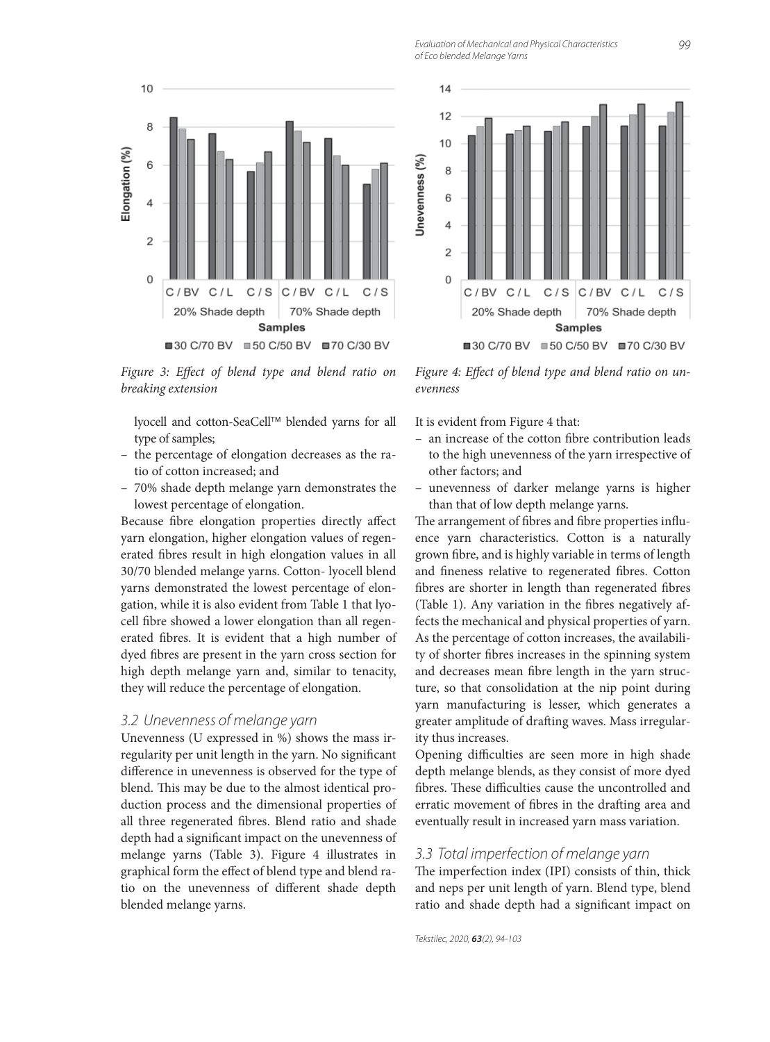Evaluation of Mechanical and Physical Characteristics of Eco blended Melange Yarns



Figure 3: Effect of blend type and blend ratio on *breaking extension*

lyocell and cotton-SeaCell™ blended yarns for all type of samples;

- the percentage of elongation decreases as the ratio of cotton increased; and
- 70% shade depth melange yarn demonstrates the lowest percentage of elongation.

Because fibre elongation properties directly affect yarn elongation, higher elongation values of regenerated fibres result in high elongation values in all 30/70 blended melange yarns. Cotton- lyocell blend yarns demonstrated the lowest percentage of elongation, while it is also evident from Table 1 that lyocell fibre showed a lower elongation than all regenerated fibres. It is evident that a high number of dyed fibres are present in the yarn cross section for high depth melange yarn and, similar to tenacity, they will reduce the percentage of elongation.

#### 3.2 Unevenness of melange yarn

Unevenness (U expressed in %) shows the mass irregularity per unit length in the yarn. No significant difference in unevenness is observed for the type of blend. This may be due to the almost identical production process and the dimensional properties of all three regenerated fibres. Blend ratio and shade depth had a significant impact on the unevenness of melange yarns (Table 3). Figure 4 illustrates in graphical form the effect of blend type and blend ratio on the unevenness of different shade depth blended melange yarns.



Figure 4: Effect of blend type and blend ratio on un*evenness*

It is evident from Figure 4 that:

- an increase of the cotton fibre contribution leads to the high unevenness of the yarn irrespective of other factors; and
- unevenness of darker melange yarns is higher than that of low depth melange yarns.

The arrangement of fibres and fibre properties influence yarn characteristics. Cotton is a naturally grown fibre, and is highly variable in terms of length and fineness relative to regenerated fibres. Cotton fibres are shorter in length than regenerated fibres (Table 1). Any variation in the fibres negatively affects the mechanical and physical properties of yarn. As the percentage of cotton increases, the availability of shorter fibres increases in the spinning system and decreases mean fibre length in the yarn structure, so that consolidation at the nip point during yarn manufacturing is lesser, which generates a greater amplitude of drafting waves. Mass irregularity thus increases.

Opening difficulties are seen more in high shade depth melange blends, as they consist of more dyed fibres. These difficulties cause the uncontrolled and erratic movement of fibres in the drafting area and eventually result in increased yarn mass variation.

#### 3.3 Total imperfection of melange yarn

The imperfection index (IPI) consists of thin, thick and neps per unit length of yarn. Blend type, blend ratio and shade depth had a significant impact on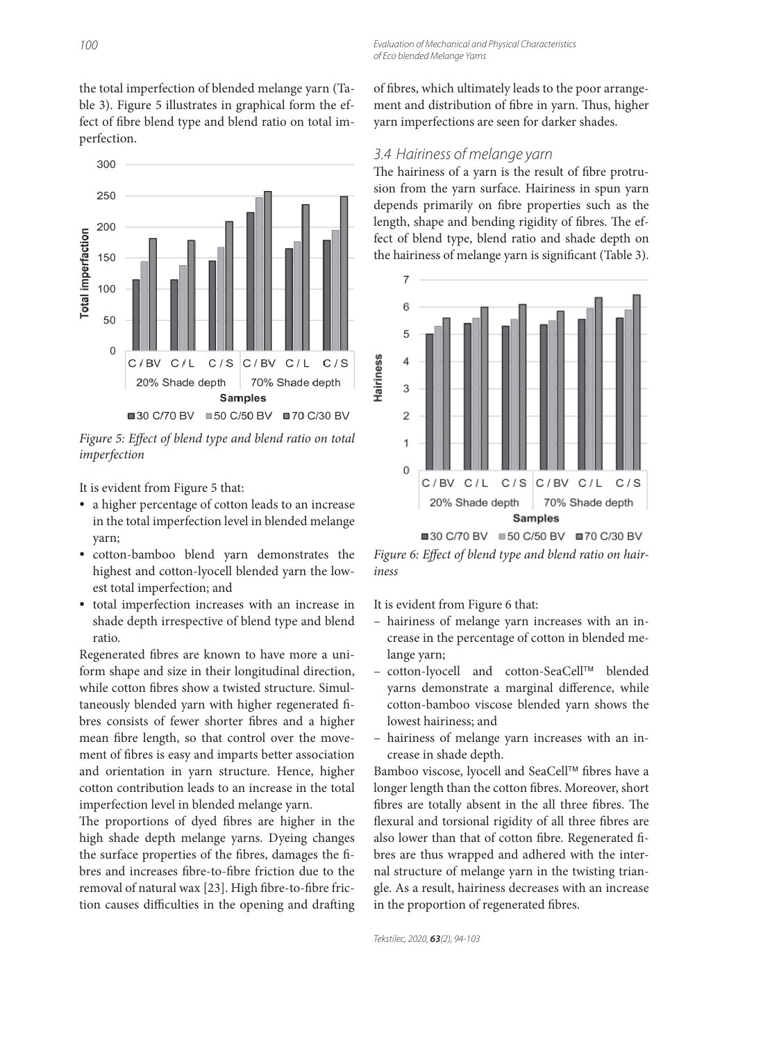the total imperfection of blended melange yarn (Table 3). Figure 5 illustrates in graphical form the effect of fibre blend type and blend ratio on total imperfection.



Figure 5: Effect of blend type and blend ratio on total *imperfection*

It is evident from Figure 5 that:

- a higher percentage of cotton leads to an increase in the total imperfection level in blended melange yarn;
- cotton-bamboo blend yarn demonstrates the highest and cotton-lyocell blended yarn the lowest total imperfection; and
- total imperfection increases with an increase in shade depth irrespective of blend type and blend ratio.

Regenerated fibres are known to have more a uniform shape and size in their longitudinal direction, while cotton fibres show a twisted structure. Simultaneously blended yarn with higher regenerated fibres consists of fewer shorter fibres and a higher mean fibre length, so that control over the movement of fibres is easy and imparts better association and orientation in yarn structure. Hence, higher cotton contribution leads to an increase in the total imperfection level in blended melange yarn.

The proportions of dyed fibres are higher in the high shade depth melange yarns. Dyeing changes the surface properties of the fibres, damages the fibres and increases fibre-to-fibre friction due to the removal of natural wax [23]. High fibre-to-fibre friction causes difficulties in the opening and drafting of fibres, which ultimately leads to the poor arrangement and distribution of fibre in yarn. Thus, higher yarn imperfections are seen for darker shades.

#### 3.4 Hairiness of melange yarn

The hairiness of a yarn is the result of fibre protrusion from the yarn surface. Hairiness in spun yarn depends primarily on fibre properties such as the length, shape and bending rigidity of fibres. The effect of blend type, blend ratio and shade depth on the hairiness of melange yarn is significant (Table 3).



Figure 6: Effect of blend type and blend ratio on hair*iness*

It is evident from Figure 6 that:

- hairiness of melange yarn increases with an increase in the percentage of cotton in blended melange yarn;
- cotton-lyocell and cotton-SeaCell™ blended yarns demonstrate a marginal difference, while cotton-bamboo viscose blended yarn shows the lowest hairiness; and
- hairiness of melange yarn increases with an increase in shade depth.

Bamboo viscose, lyocell and SeaCell™ fibres have a longer length than the cotton fibres. Moreover, short fibres are totally absent in the all three fibres. The flexural and torsional rigidity of all three fibres are also lower than that of cotton fibre. Regenerated fibres are thus wrapped and adhered with the internal structure of melange yarn in the twisting triangle. As a result, hairiness decreases with an increase in the proportion of regenerated fibres.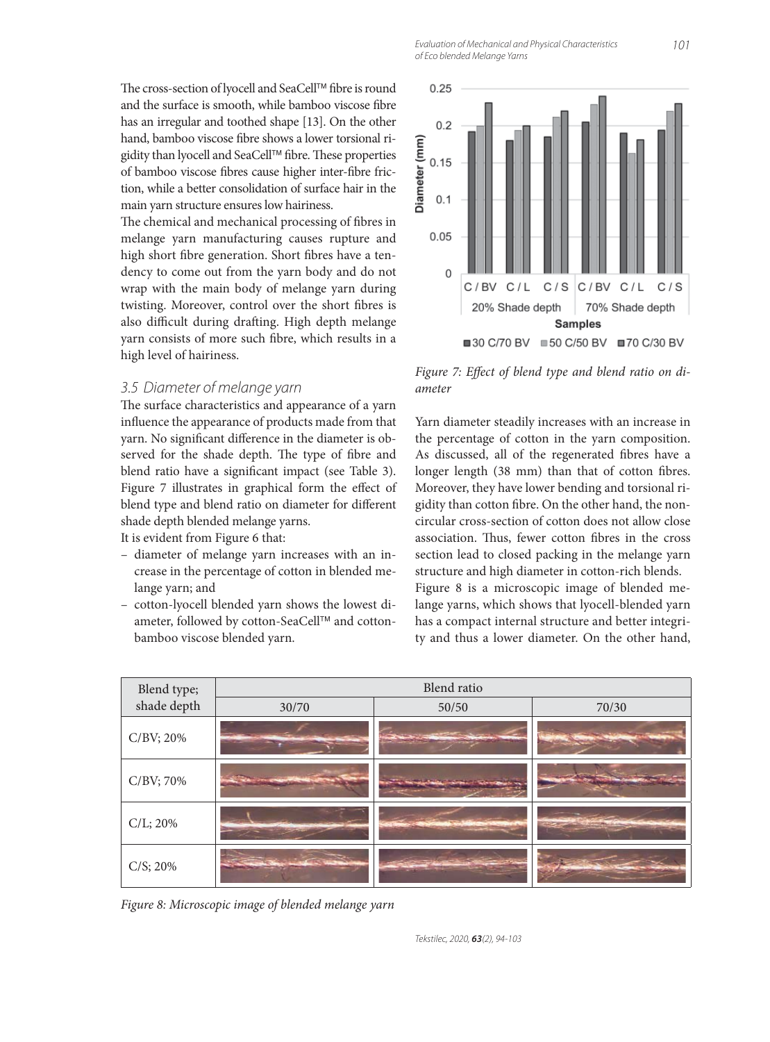Evaluation of Mechanical and Physical Characteristics of Eco blended Melange Yarns

The chemical and mechanical processing of fibres in melange yarn manufacturing causes rupture and high short fibre generation. Short fibres have a tendency to come out from the yarn body and do not wrap with the main body of melange yarn during twisting. Moreover, control over the short fibres is also difficult during drafting. High depth melange yarn consists of more such fibre, which results in a high level of hairiness.

### 3.5 Diameter of melange yarn

The surface characteristics and appearance of a yarn influence the appearance of products made from that yarn. No significant difference in the diameter is observed for the shade depth. The type of fibre and blend ratio have a significant impact (see Table 3). Figure 7 illustrates in graphical form the effect of blend type and blend ratio on diameter for different shade depth blended melange yarns.

It is evident from Figure 6 that:

- diameter of melange yarn increases with an increase in the percentage of cotton in blended melange yarn; and
- cotton-lyocell blended yarn shows the lowest diameter, followed by cotton-SeaCell™ and cottonbamboo viscose blended yarn.

Figure 7: Effect of blend type and blend ratio on di*ameter*

Yarn diameter steadily increases with an increase in the percentage of cotton in the yarn composition. As discussed, all of the regenerated fibres have a longer length (38 mm) than that of cotton fibres. Moreover, they have lower bending and torsional rigidity than cotton fibre. On the other hand, the noncircular cross-section of cotton does not allow close association. Thus, fewer cotton fibres in the cross section lead to closed packing in the melange yarn structure and high diameter in cotton-rich blends.

Figure 8 is a microscopic image of blended melange yarns, which shows that lyocell-blended yarn has a compact internal structure and better integrity and thus a lower diameter. On the other hand,



*Figure 8: Microscopic image of blended melange yarn*

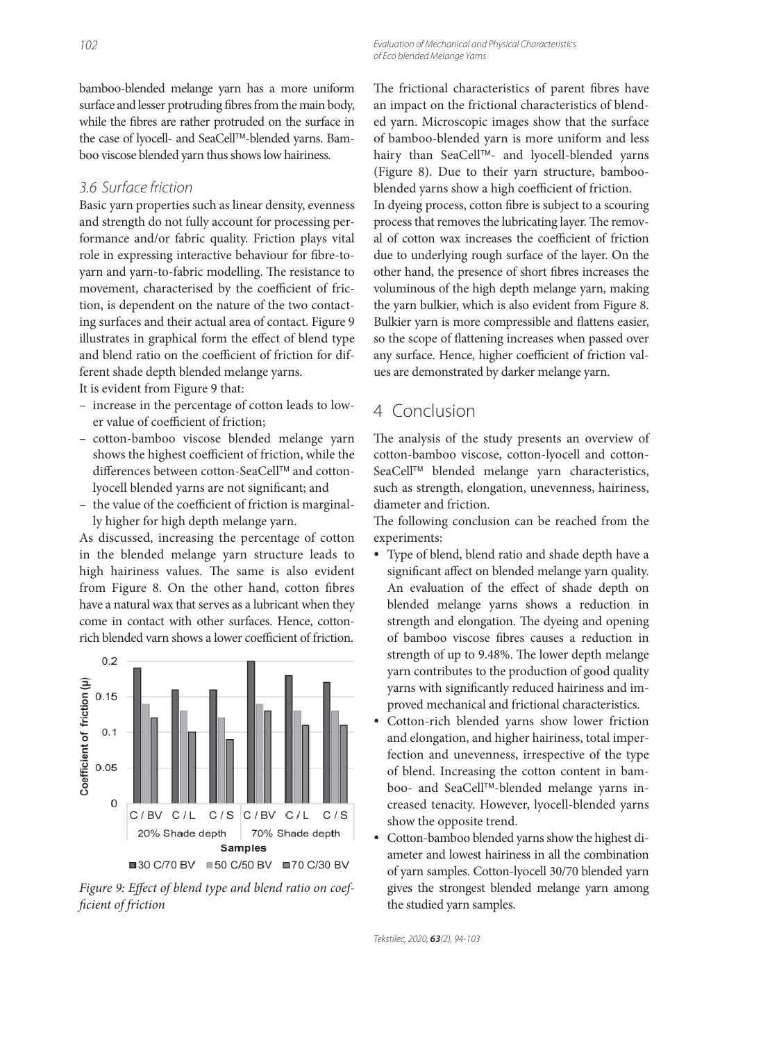### 3.6 Surface friction

Basic yarn properties such as linear density, evenness and strength do not fully account for processing performance and/or fabric quality. Friction plays vital role in expressing interactive behaviour for fibre-toyarn and yarn-to-fabric modelling. The resistance to movement, characterised by the coefficient of friction, is dependent on the nature of the two contacting surfaces and their actual area of contact. Figure 9 illustrates in graphical form the effect of blend type and blend ratio on the coefficient of friction for different shade depth blended melange yarns.

It is evident from Figure 9 that:

- increase in the percentage of cotton leads to lower value of coefficient of friction;
- cotton-bamboo viscose blended melange yarn shows the highest coefficient of friction, while the differences between cotton-SeaCell™ and cottonlyocell blended yarns are not significant; and
- the value of the coefficient of friction is marginally higher for high depth melange yarn.

As discussed, increasing the percentage of cotton in the blended melange yarn structure leads to high hairiness values. The same is also evident from Figure 8. On the other hand, cotton fibres have a natural wax that serves as a lubricant when they come in contact with other surfaces. Hence, cottonrich blended varn shows a lower coefficient of friction.



Figure 9: Effect of blend type and blend ratio on coef*fi cient of friction*

Evaluation of Mechanical and Physical Characteristics of Eco blended Melange Yarns

The frictional characteristics of parent fibres have an impact on the frictional characteristics of blended yarn. Microscopic images show that the surface of bamboo-blended yarn is more uniform and less hairy than SeaCell™- and lyocell-blended yarns (Figure 8). Due to their yarn structure, bambooblended yarns show a high coefficient of friction. In dyeing process, cotton fibre is subject to a scouring process that removes the lubricating layer. The removal of cotton wax increases the coefficient of friction due to underlying rough surface of the layer. On the other hand, the presence of short fibres increases the voluminous of the high depth melange yarn, making the yarn bulkier, which is also evident from Figure 8. Bulkier yarn is more compressible and flattens easier, so the scope of flattening increases when passed over any surface. Hence, higher coefficient of friction values are demonstrated by darker melange yarn.

### 4 Conclusion

The analysis of the study presents an overview of cotton-bamboo viscose, cotton-lyocell and cotton-SeaCell™ blended melange yarn characteristics, such as strength, elongation, unevenness, hairiness, diameter and friction.

The following conclusion can be reached from the experiments:

- Type of blend, blend ratio and shade depth have a significant affect on blended melange yarn quality. An evaluation of the effect of shade depth on blended melange yarns shows a reduction in strength and elongation. The dyeing and opening of bamboo viscose fibres causes a reduction in strength of up to 9.48%. The lower depth melange yarn contributes to the production of good quality yarns with significantly reduced hairiness and improved mechanical and frictional characteristics.
- Cotton-rich blended yarns show lower friction and elongation, and higher hairiness, total imperfection and unevenness, irrespective of the type of blend. Increasing the cotton content in bamboo- and SeaCell™-blended melange yarns increased tenacity. However, lyocell-blended yarns show the opposite trend.
- Cotton-bamboo blended yarns show the highest diameter and lowest hairiness in all the combination of yarn samples. Cotton-lyocell 30/70 blended yarn gives the strongest blended melange yarn among the studied yarn samples.